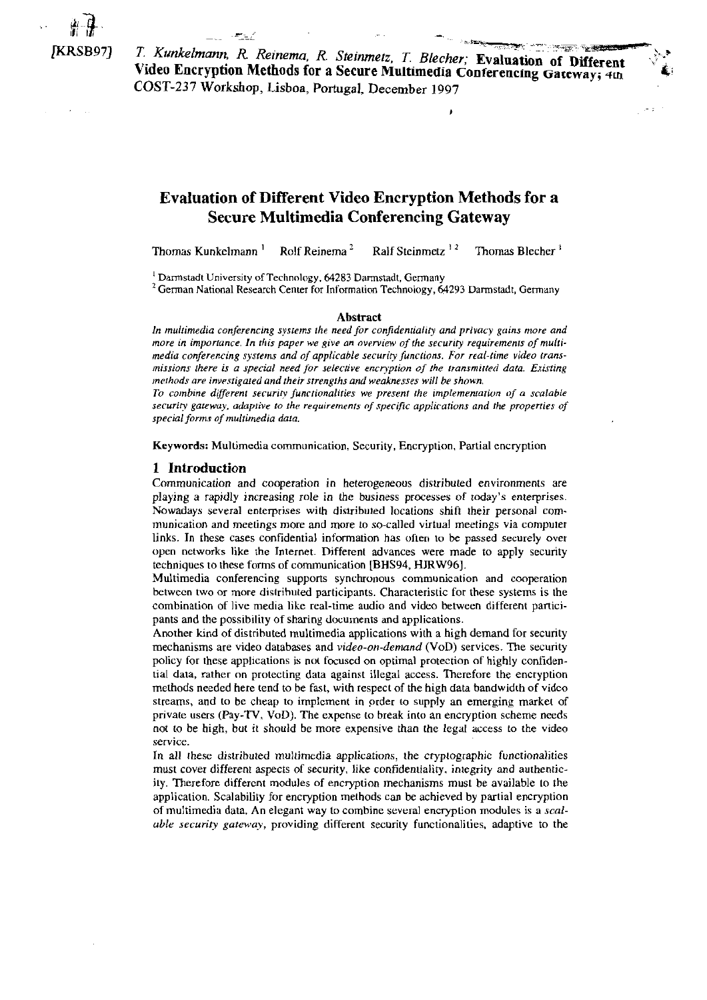T. Kunkelmann, R. Reinema, R. Steinmetz, T. Blecher; Evaluation of Different Video Encryption Methods for a Secure Multimedia Conferencing Gateway; 4th COST-237 Workshop, Lisboa, Portugal, December 1997

**College** 

# **Evaluation of Different Video Encryption Methods for a Secure Multimedia Conferencing Gateway**

Thomas Kunkelmann<sup>1</sup> Rolf Reinema<sup>2</sup> Ralf Steinmetz<sup>12</sup> Thomas Blecher<sup>1</sup>

<sup>1</sup> Darmstadt University of Technology, 64283 Darmstadt, Germany

<sup>2</sup> German National Research Center for Information Technology, 64293 Darmstadt, Germany

#### **Abstract**

In multimedia conferencing systems the need for confidentiality and privacy gains more and more in importance. In this paper we give an overview of the security requirements of multimedia conferencing systems and of applicable security functions. For real-time video transmissions there is a special need for selective encryption of the transmitted data. Existing methods are investigated and their strengths and weaknesses will be shown.

To combine different security functionalities we present the implementation of a scalable security gateway, adaptive to the requirements of specific applications and the properties of special forms of multimedia data.

Keywords: Multimedia communication, Security, Encryption, Partial encryption

# 1 Introduction

Communication and cooperation in heterogeneous distributed environments are playing a rapidly increasing role in the business processes of today's enterprises. Nowadays several enterprises with distributed locations shift their personal communication and meetings more and more to so-called virtual meetings via computer links. In these cases confidential information has often to be passed securely over open networks like the Internet. Different advances were made to apply security techniques to these forms of communication [BHS94, HJRW96].

Multimedia conferencing supports synchronous communication and cooperation between two or more distributed participants. Characteristic for these systems is the combination of live media like real-time audio and video between different participants and the possibility of sharing documents and applications.

Another kind of distributed multimedia applications with a high demand for security mechanisms are video databases and video-on-demand (VoD) services. The security policy for these applications is not focused on optimal protection of highly confidential data, rather on protecting data against illegal access. Therefore the encryption methods needed here tend to be fast, with respect of the high data bandwidth of video streams, and to be cheap to implement in order to supply an emerging market of private users (Pay-TV, VoD). The expense to break into an encryption scheme needs not to be high, but it should be more expensive than the legal access to the video service.

In all these distributed multimedia applications, the cryptographic functionalities must cover different aspects of security, like confidentiality, integrity and authenticity. Therefore different modules of encryption mechanisms must be available to the application. Scalability for encryption methods can be achieved by partial encryption of multimedia data. An elegant way to combine several encryption modules is a scalable security gateway, providing different security functionalities, adaptive to the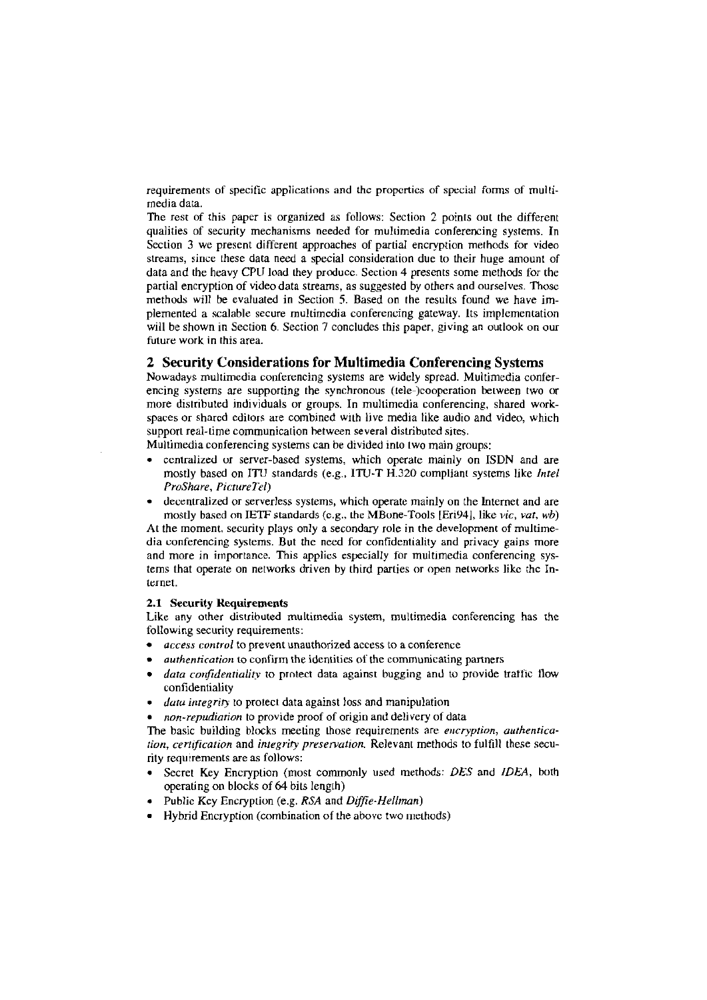requirements of specitic applicatinns and thc propcrtics of spcial forms of multimedia data.

The rest of this paper is organized as follows: Section 2 points out the different qualities of security mechanisms needed for muliimedia conferencing sysrems. In Section 3 we present different approaches of partial encryption methods for video streams, since these data need a special consideration due to their huge amount of data and the heavy CPU load they producc. Section 4 presents some methods for the partial encryption of video data streams, as suggested by others and ourselves. Thosc methods will be evaluated in Section 5. Based on the results found we have implemented a scalable secure multimcdia conferencing gateway. Its implementation will be shown in Section 6. Section 7 concludes this paper, giving an outlook on our future work in this area.

# **2 Security Considerations for Multimedia Conferencing Systems**

Nowadays multimcdia conferencing systems are widely spread. Multimedia conferencing systems are supporting the synchronous (tele-)coopcration between two or more distributed individuals or groups. In multimedia conferencing, shared workspaces or shared editors are combined with live media like audio and video, which support real-time communication hetween several distributcd sites.

Multimedia conferencing systems can be divided into two main groups:

- centralized or server-based systems, which operate mainly on ISDN and are  $\bullet$ mostly based on ITLl standards (e.g.. **ITU-T** H.320 cumpliant Systems like *Infel ProShare, PicrureTel)*
- $\bullet$ decentralized or serverless systems, which operate mainly on the Internet and are mostly based on IETF standards (c.g., the MBone-Tools [Eri94], like *vic*, *vat*, *wb*)

At the moment, security plays only a secondary role in the development of multimedia conferencing systems. But the need for confidentiality and privacy gains more and more in importance. This applics especially for multimedia conferencing systems that operate on networks driven by third parties or open networks like the Inlernet.

#### 2.1 Security **Kequirements**

Like any other distributed multimedia System, multimedia conferencing has rhe following security requirements:

- $\bullet$ *occess coritrol* to prevent unauthorized access to a conference
- **r** *outhenticatiori* to confirm the identities of the communicating pariners
- *data corlfidentiality* to pintect data against bugging and to provide trattic **tlow**   $\bullet$ confidentiality
- data integrity to protect data against loss and manipulation  $\bullet$
- *non-repudiation* to provide proof of origin and delivery of data

The basic building blocks meeting those requirements are *encryption*, *authenticarion, certification* and *integrity preservation.* Relevant methods to fulfill these security requirements are as follows:

- Secret Key Encryption (most commonly used methods: DES and *IDEA*, both operating oo blocks of 64 bits length)
- Public Kcy Encryption (e.g. *RSA* and *Diffie-Hellman*)
- $\bullet$  Hybrid Encryption (combination of the above two methods)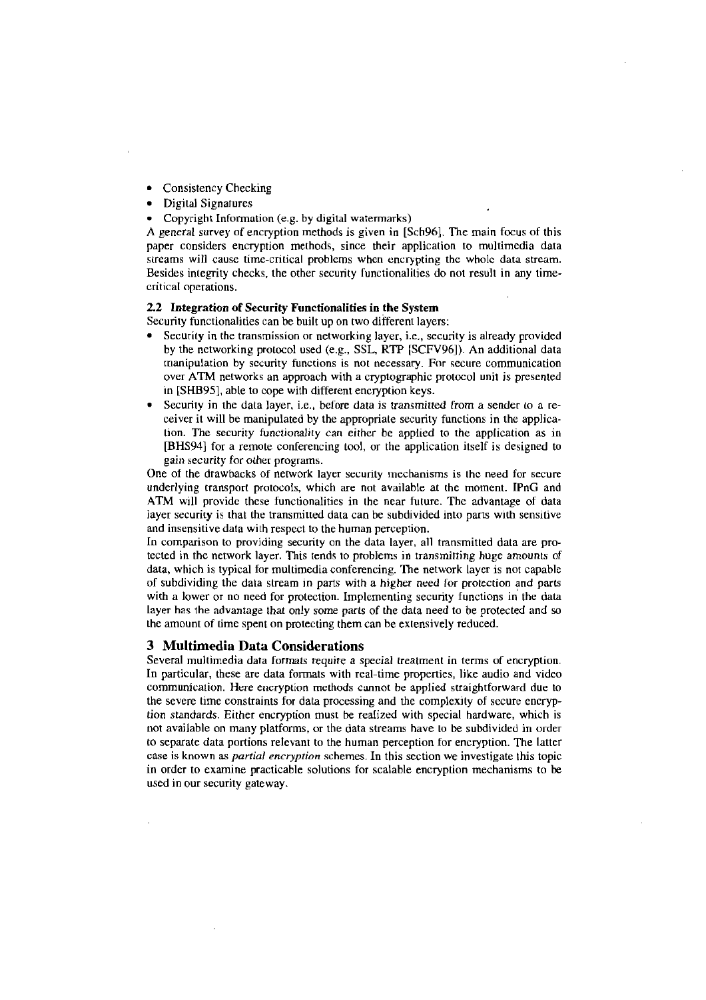- Consistency Checking
- Digital Signatures
- Copyright Information (e.g. by digital watermarks)

A general survey of encryption methods is given in [Sch96]. The main focus of this paper considers encryption methods, since their application to multimedia data sireams will cause time-critical problems when encrypting the wholc data stream. Besides integrity checks, the other secunty functionalities do not result in any timecritical operations.

#### 2.2 Integration of Security Functionalities in the System

Security functionalities can be built up on two different layers:

- Security in the transmission or networking layer, i.e., secunty is already provided by the networking protocol used (e.g., SSL, RTP [SCFV96]). An additional data manipulation by security functions is not necessary. For secure communication over ATM networks an approach with a cryptographic protocol unit is presented in [SHB95], able to cope with different encryption keys.
- Secunty in the data layer. i.e.. before data is transmitted from a sender io a receiver it will be manipulated by the appropriate security functions in the application. The security functionaliiy can either be applied to the application as in [BHS94] for a remote conferencing tool, or the application itself is designed to gain security for other programs.

One of the drawbacks of network layer sccurily inechanisms is thc need for secure underlying transport protocols, which are not available at the moment. IPnG and **ATM** will provide these functionalities in the near future. The advantage of data layer security is that the transmitted data can be subdivided into parts with sensitive and insensitive data with respect to the human perception.

In comparison to providing security on the data layer, all transmitted data are protected in the network layer. This tends to problems in transmitting huge amounts of data, which is typical for multimedia conferencing. The network layer is not capable of subdividing the data stream in parts with a higher need ior protection and parts with a lower or no need for protection. Implementing security functions in the data layer has the advantage that only some parls of the data need to be protected and so the amount of time spent on protecting them can be extensively reduced.

## **3 Multimedia Data Considerations**

Several multimedia dara formats require a special treatment in tems of encryption. In particular, these are data fonnats with real-time propenies, like audio and video communication. Here encryption mcthods cannot be applied straightforward due to the severe time constraints for data processing and the complexily of secure encryption standards. Either encryption must **be** realized with special hardware, which is not available on many platforms, or the data streams have to **be** subdivided in order to separate data portions relevant to the human perception for encryption. The latter case is known **as partial** encryption schemes. In this section we investigate this topic in order to examine practicable solutions for scalable encryption mechanisms to **be**  used in our security gateway.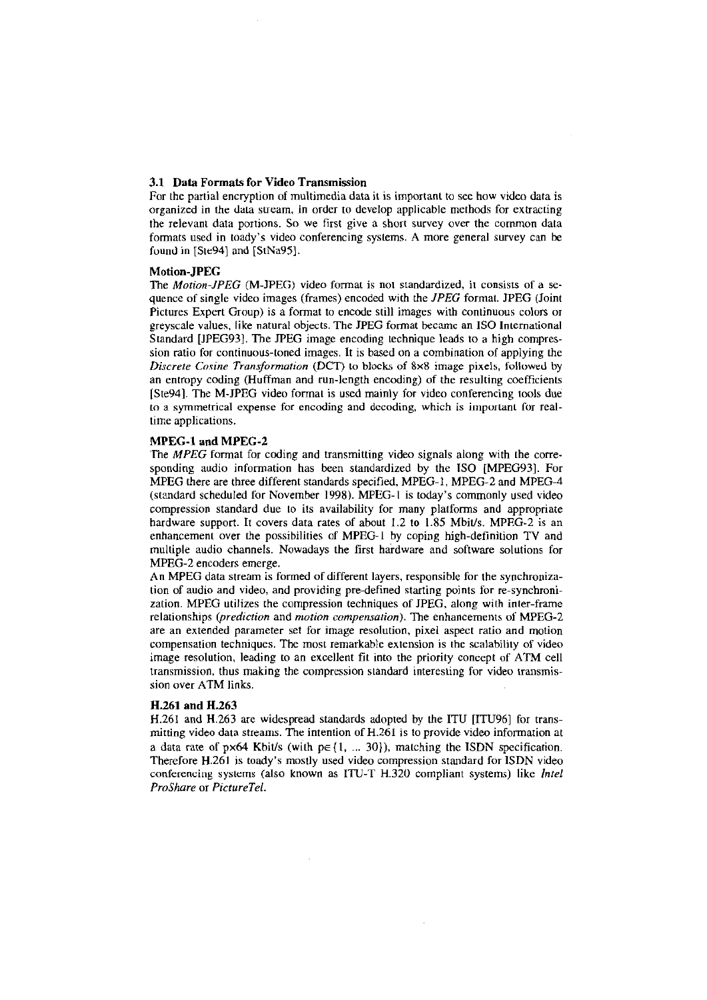## 3.1 **Data** Formats for Video Transmission

For the partial encryption of multimedia data it is important to see how video data is organized in the data stream, in order to develop applicable methods for extracting the relevant data portions. So we first give a short survey over the cornmon data fomnats used in toady's video conferencing systems. A more general survey can be found in [Ste94] and [StNa95].

#### Motion-JPEG

The *Motion-JPEG* (M-JPEG) video format is not standardized, it consists of a sequence of single video images (frames) encoded with the *JPEG* format. JPEG (Joint Pictures Expert Group) is a fomnat to encode still images with continuous colors or greyscale values. like natural objects. The JPEG fomat becmc an ISO International Standard [JPEG93]. The JPEG image encoding technique leads to a high compression ratio for continuous-toned images. It is based on a combination of applying the *Discrere Cosine Transformation* (DCT) 10 blocks of 8x8 image pixels, followed by an entropy coding (Huffman and run-length encoding) of the resulting coefficients LSte941. The M-JPEG video format is used mainly for video conferencing tools due to a symmetrical expense for encoding and decoding, which is important for realtime applications.

#### MPEG-1 and MPEG-2

The *MPEG* format for coding and transmitting video signals along with the corresponding audio information has been standardized by the [SO [MPEG93]. For MPEG there are three different standards specified, MPEG-I. MPEG-2 and MPEG-4 (standard scheduled for November 1998). MPEG-I is today's commonly used video compression standard due to its availability for many platforms and appropriate hardware support. It Covers data rates of about 1.2 to 1.85 Mbit/s. MPEG-2 **is** an enhancement over the possibilities of MPEG-I by coping high-definition TV and multiple audio channels. Nowadays the first hardware and software solutions for MPEG-2 encoders emerge.

An MPEG data stream is formed of different layers. responsible for the synchronization of audio and video, and providing pre-defined starting points for re-synchronization. MPEG utilizes the compression techniques of JPEG, along with inter-frame relationships *(prediction and motion compensation)*. The enhancements of MPEG-2 are an extended Parameter set for image resolution, pixel aspect ratio and motion compensation techniques. The most remarkable extension is the scalability of video image resolution. leading 10 an excellent fit into the priority concept of ATM cell transmission, thus making the compression standard interesting for video transmission over ATM links.

#### H.261 and H.263

H.261 and H.263 are widespread standards adopted by the ITU [ITU96] for transmitting video data streams. The intention of H.261 is to provide video information at a data rate of  $px64$  Kbit/s (with  $pe\{1, \ldots 30\}$ ), matching the ISDN specification. Therefore H.261 is toady's mostly used video compression standard for ISDN video conferenciiig sysicrns (also known as ITL-T H.320 compliant systems) like *Intel ProShare* or *PictureTel.*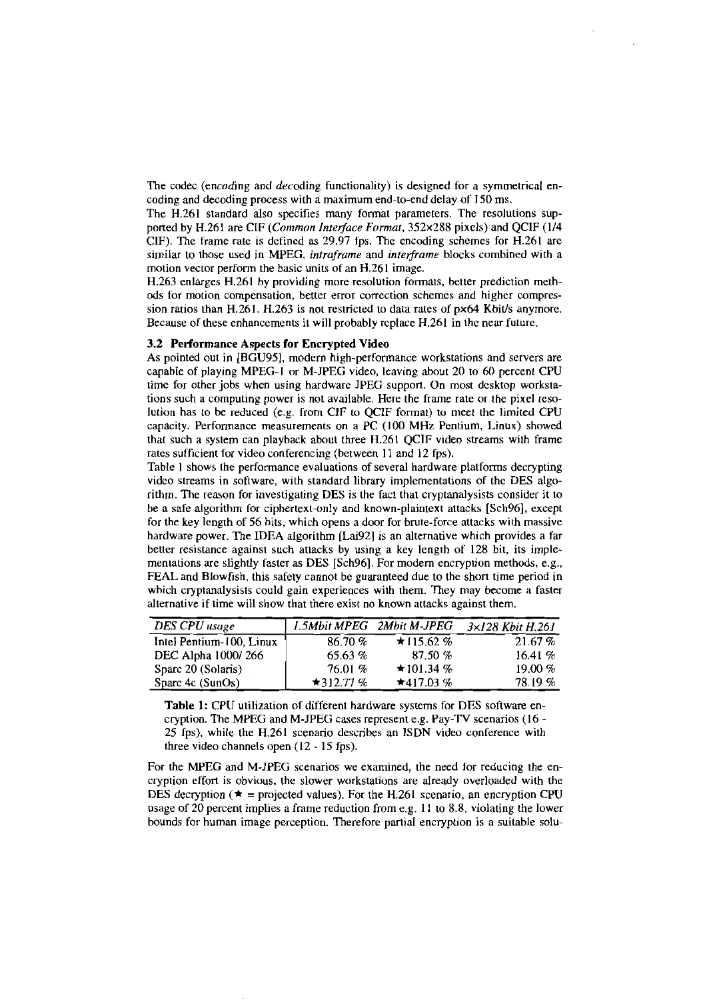The codec (encoding and decoding functionality) is designed for a symmetrical encoding and decoding process with a maximum end-to-end delay of 150 ms.

The H.261 standard also specifies many format parameters. The resolutions supported by H.261 are CIF (Common Interface Format, 352×288 pixels) and OCIF (1/4 CIF). The frame rate is defined **as** 29.97 fps. The encoding schemes for H.261 are similar to those used in MPEG, intraframe and interframe blocks combined with a motion vector perform the basic units of an H.261 image.

H.263 enlarges H.261 by providing more resolution formats, better prediction methods for motion compensation, hetter error correction schemes and higher compression ratios than  $H.261$ . H.263 is not restricted to data rates of  $px64$  Kbit/s anymore. Because of these enhancements it will probably replace H.261 in the near future.

# **3.2 Performance Aspects for Encrypted Video**

As pointed out in [BGU95], modern high-performance workstations and servers are capahle of playing MPEG-I or M-JPEG video, leaving about 20 to 60 percent CPU time for other jobs when using hardware JPEG suppon. On most desktop workstations such a computing power is not available. Here the frame rate or the pixel resolution has to be reduced (e.g. from CIF to QCIF format) to meet the limited CPU capacity. Performance measurements on a PC (100 MHz Pentium, Linux) showed that such a System can playback about thee H.261 QCIF video streams with frame rates sufficient for video conferencing (between 11 and 12 fps).

Table I shows the performance evaluations of several hardware platforms decrypting video streams in software, with standard library implementations of the DES algorithm. The reason for investigating DES is the fact that cryptanalysists consider it to be a safe algorithm for ciphertext-only and known-plaintext attacks [Sch96], except for the key length of 56 bits, which opens a door for brute-force attacks with massive hardware power. The IDEA algorithm [Lai92] is an alternative which provides a far better resistance against such attacks by using a key length of 128 bit, its implementations are slightly faster as DES [Sch96]. For modern encryption methods, e.g., FEAL and Blowfish, this safety cannot be guaranteed due to the shon time period in which cryptanalysists could gain experiences with them. They may become a faster alternative if time will show that there exist no known attacks against them.

| DES CPU usage            |                  | 1.5Mbit MPEG 2Mbit M-JPEG | 3×128 Kbit H.261 |
|--------------------------|------------------|---------------------------|------------------|
| Intel Pentium-100, Linux | 86.70%           | $\star$ 115.62 %          | 21.67%           |
| DEC Alpha 1000/266       | 65.63%           | - 87.50 %                 | 16.41%           |
| Sparc 20 (Solaris)       | 76.01%           | $\star$ 101.34 %          | 19.00%           |
| Sparc 4c (SunOs)         | $\star$ 312.77 % | $\star$ 417.03 %          | 78.19%           |

Table 1: CPU utilization of different hardware systems for DES software encryption. The MPEG and M-JPEG cases represent e.g. Pay-TV scenarios (16 - 25 fps), while the H.261 scenario describes an ISDN video conference with thee video channels open (I2 - 15 fps).

For the MPEG and M-JPEG scenarios we exarnined, the need for reducing the encryption effon is obvious. the slower workstations are already overloaded with the DES decryption ( $\star$  = projected values). For the H.261 scenario, an encryption CPU usage of 20 percent implies a frame reduction from e.g.  $11$  to 8.8, violating the lower bounds for human image perception. Therefore partial encryption is a suitable solu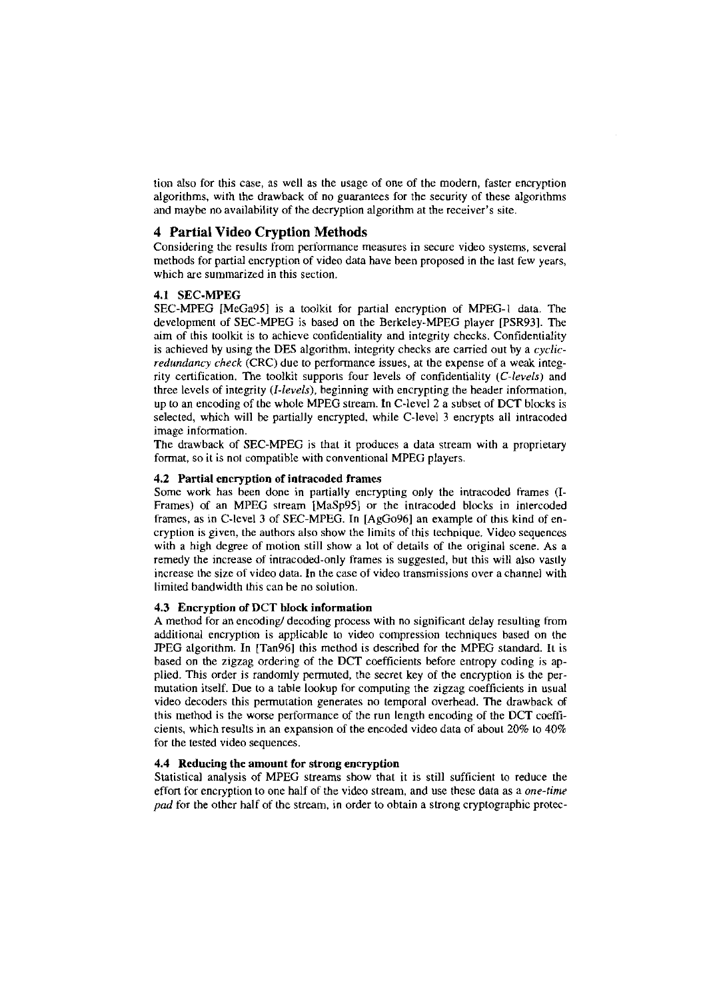tion also for this case, as well as the usage of one of the modern, faster encryption algorithms. with the drawhack of no guarantees for the security of these algorithms and maybe no availability of the decryption algorithm at the receiver's site.

# **4 Partial Video Cryption Methods**

Considering the results from performance measures in secure video systems, several methods for partial encryption of video data have been proposed in the last few years, which are summarized in this section.

# 4.1 **SEC-MPEG**

SEC-MPEG [MeGa95] is a toolkit for partial encryption of MPEG-1 data. The development of SEC-MPEG is based on the Berkeley-MPEG player [PSR931. The aim of this toolkit is to achieve confidentiality and integrity checks. Confidentiality is achieved by using the DES algorithm, integrity checks are carried out by a cyclicredundancy check (CRC) due to perfomance issues, at the expense of a weak integrity certification. The toolkit supports four levels of confidentiality (C-levels) and three levels of integrity (I-levels), heginning with encrypting the header information, up to an encoding of the whole MPEG stream. In C-level 2 a subset of DCT blocks is selected, which will be partially encrypted. while C-level 3 encrypts all intracoded image information.

The drawback of SEC-MPEG is that it produces a data stream with a proprietary format, so it is not compatible with conventional MPEG players.

## 4.2 **Partial encryption of intracoded frames**

Some work has been done in partially encrypting only the intracoded frames (I-Frames) of an MPEG stream [MaSp95] or the intracoded blocks in intercoded frames, as in C-level 3 of SEC-MPEG. In [AgGo96] an example of this kind of encryption is given, the authors also show the limits of this technique. Video sequences with a high degree of motion still show a lot of details of the original scene. As a remedy the increase of intracoded-only frames is suggested, but this will also vastly increase ihe size of video data. In the case of video transmissions over achannel with limited bandwidth this can be no solution.

## 4.3 **Encryption of** DCT **block information**

A method for an encoding/ decoding process with no significant delay resulting from additional encryption is applicable 10 video compression techniques based on the JPEG algorithm. In [Tan96] this method is descrihed for the MPEG standard. It is based on the zigzag ordering of the DCT coefficients before entropy coding is applied. This order is randomly permuted, the secret key of the encryption is the permutation itself. Due to a tahle lookup for computing rhe zigzag coefficients in usual video decoders this permutation generates no temporal overhead. The drawback of this method is the worse perfomance of the run length encoding of the DCT coefficients, which results in an expansion of the encoded video data of about 20% to 40% for the tested video sequences.

# 4.4 **Reducing the amount for strong encryption**

Statistical analysis of MPEG streams show that it is still sufficient to reduce the effort for encryption to one half of the video stream, and use these data as a *one-time* pad for the other half of the stream, in order to obtain a strong cryptographic protec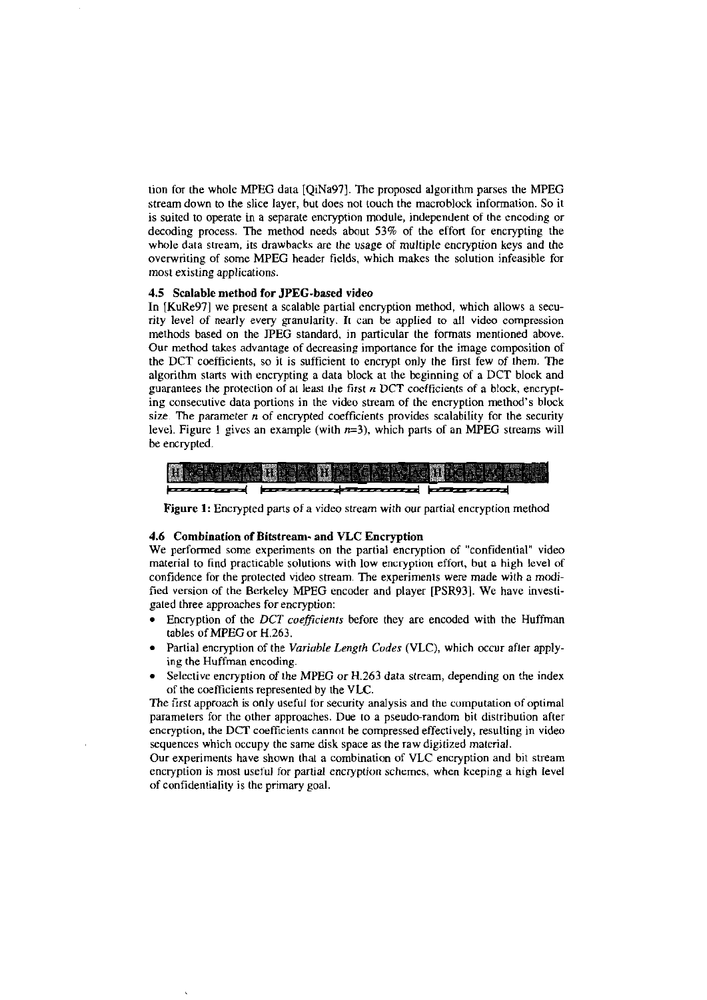tion for the whole MPEG data [QiNa97]. The proposed algorithm parses the MPEG stream down to the slice layer, but does not touch the macmblock information. So it is suited to operate in a separate encryption module, independent of the encoding or decoding process. The method needs about **53%** of the effort for encrypting the whole data stream, its drawhacks are the usage of multiple encryption keys and the ovetwriting of some MPEG header fields, which makes the solution infeasible for most existing applications.

#### 4.5 Scalable method for JPEG-based video

In [KuRe97] we present a scalable partial encryption method, which allows a security level of nearly every gtanularity. Ir can be applied to all video compression methods based on the JPEG Standard, in particular the formats mentioned above. Our method takes advantage of decreasing importance for the image composition of the DCT coefficients, so it is sufficient to encrypt only the first few of them. The algorithm starts with encrypting a data block at the beginning of a DCT block and guarantees the protection of at least the first *n* DCT coefficients of a block, encrypting consecutive data portions in the video stream of the encryption method's block size. The parameter  $n$  of encrypted coefficients provides scalability for the security level. Figure 1 gives an example (with **n=3),** which parts of an MPEG streams will be encrypted.



Figure 1: Encrypted pans of a video stream with our partial encryption method

#### 4.6 Combination of Bitstream- and VLC Encryption

We performed some experiments on the partial encryption of "confidential" video material to find practicable solutions with low encryption effort, but **a** high level of confidence for the protected video stream. The experiments were made with a modified version of the Berkeley MPEG encoder and player [PSR93]. We have investigated three approaches for encryption:

- Encryption of the *DCT coefficients* hefore they are encoded with the Huffman tables of MPEG or H.263.
- Partial encryption of the Variable *Lengfh Codes* (VLC), which occur after applying the Huffman encoding.
- Selective encryption of the MPEG or H.263 data stream, depending on the index of the coefficients represented by the VLC.

The first approach is only useful for security analysis and the computation of optimal Parameters for the other approaches. Due to a pseudo-random bit distribution after encryption, the DCT coefficients cannot he compressed effectively, resulting in video sequences which occupy the same disk space as the raw digitized material.

Our experiments have shown that a combination of VLC encryption and bit stream encryption is most useful for partial encryption scherries, when kceping a high level of confidentiality is the primary goal.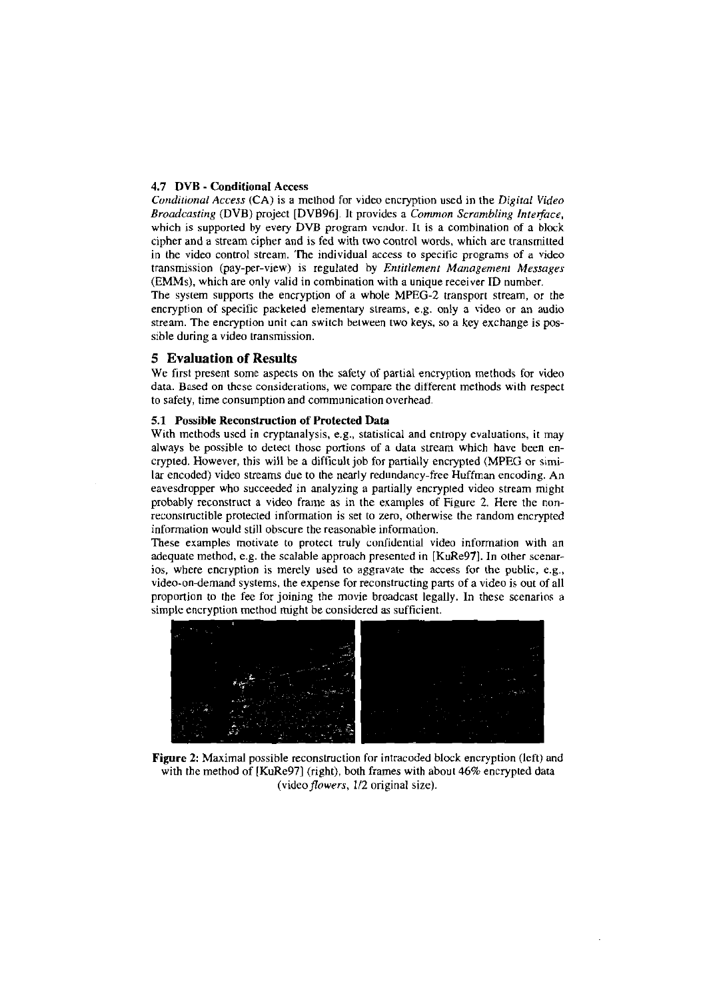## 4.7 **DVB** - **Conditional Access**

*Coridirional Access* (CA) is a melhod for video encryption used in the *Digital Video Broadcasting (DVB) project [DVB96]. It provides a <i>Common Scrambling Interface,* which is supported by every DVB program vendor. It is a combination of a block cipher and a stream cipher and is fed with two control words, which are transmitted in the video control stream. The individual access to specific programs of a video traosmissioo (pay-per-view) is regulated hy *Entitlenrent Marlagenrent Messages*  (EMMs), which are only valid in combination with a unique receiver **ID** number.

The system supports the encryption of a whole MPEG-2 transport stream, or the encryption of specific packeied elementary streams, e.g. only a video or an audio stream. The encryption unit can switch bctween two keys, so a key exchange is possible during a video iransmission.

# **5 Evaluation of Results**

We first present some aspects on the safety of partial encryption methods for video data. Based on these considerations, we compare the different methods with respect to safety, time consumption and communication overhead.

## **5.1 Possible Reconstruction of Protected Daia**

With methods used in cryptanalysis, e.g., statistical and entropy evaluations, it may always be possible to detect those portions of a data stream which have been encrypted. However, this will he a difficult joh for panially encrypted (MPEG or similar encoded) video streams due to the nearly redundancy-free Huffman encoding. An eavesdropper who succeeded in analyzing a partially encrypted video stream might probably reconstruct a video frame as in the examples of Figure 2. Here the nonreconstnictible protected information is set to Zero, otherwise the randorn encrypted information would still obscure the reasonable information.

These examples motivate to protect truly confidential video information with an adequate method. e.g. the scalable approach presented in [KuRe97]. In other scenarios, where encryption is merely used to aggravate the access for thc public, e.g., video-on-dernand Systems. the expense for reconstmcting parts of a video is out of all proportion to the fee for joining the movie broadcast legally. In these scenarios a simple encryption method mieht be considered **as** sufficient.



**Figure 2:** Maximal possible reconstruction for intracoded hlock encryption (left) and with the method of [KuRe97] (right), both frames with about 46% encrypted data (video *flowers*, 1/2 original size).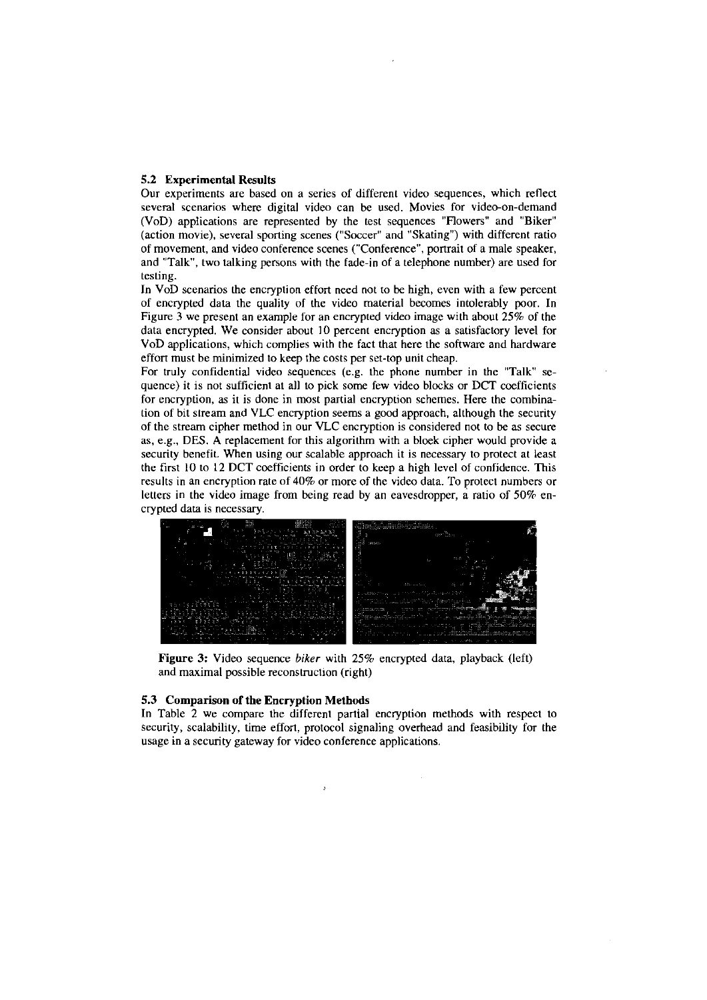# **5.2 Experimental Results**

Our experiments are based on a series of different video sequences, which reflect several scenarios where digital video can be used. Movies for video-on-demand (VoD) applications are represented by the lest sequences '"Flowers" and "Biker" (action movie), several sporting scenes ("Soccer" and "Skating") with different ratio of movement, and video conference scenes ("Conference", ponrait of a male speaker, and "Talk", two talking persons with the fade-in of a telephone number) are used for testing.

In VoD scenarios the encryption effort need not to **be** high, even with a few percent of encrypted data the quality of the video material becornes intolerably por. In Figure 3 we present an example for an encrypted video image with about 25% of the data encrypted. We consider about 10 percent encryption as a satisfactory level for VoD applications, which complies with the fact that here the software and hardware effort must be minimized to keep the costs per set-top unit cheap.

For truly confidential video sequences (e.g. the phone number in the "Talk" sequence) it is not sufficient at all to pick some few video blocks or DCT coefficients for encryption, as it is done in most partial encryption schemes. Here the combination of bit stream and VLC encryption seerns a good approach. although the security of the strearn cipher method in our VLC encryption is considered not to **be** as secure as, e.g., DES. **A** replacement for this algorithrn with a bloek cipher would provide a security benefit. When using our scalable approach it is necessary to protect at least the first 10 to 12 DCT coefficients in order to keep a high level of confidence. This results in an encryption rate of 40% or more of the video data. To protect numbers or letters in the video image from being read by an eavesdropper, a ratio of 50% encrypted data is necessary.



**Figure 3:** Video sequence **biker** with 25% encrypted data, playback (left) and maximal possible reconstmction (right)

#### **5.3 Comparison of the Encrypiion Methods**

In Table 2 we compare the different partial encryption methods with respect to security, scalability, time effort. protocol signaling overhead and feasibility for the usage in a security gateway for video conference applications.

 $\boldsymbol{z}$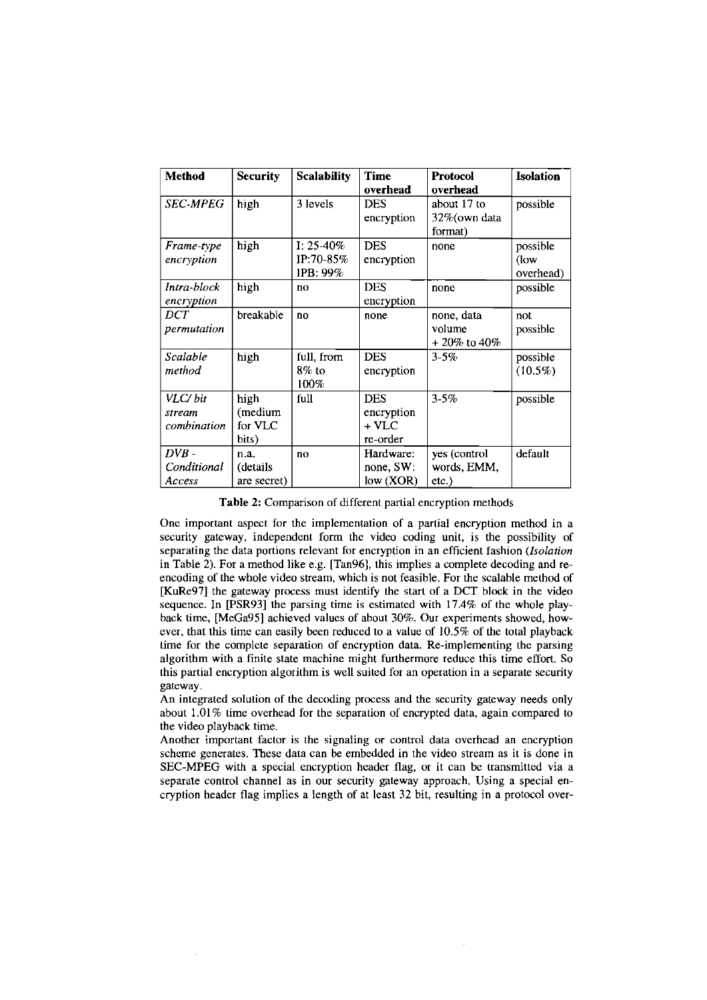| <b>Method</b>                    | <b>Security</b>                     | <b>Scalability</b>                    | <b>Time</b><br>overhead                       | Protocol<br>overhead                      | <b>Isolation</b>              |
|----------------------------------|-------------------------------------|---------------------------------------|-----------------------------------------------|-------------------------------------------|-------------------------------|
| <b>SEC-MPEG</b>                  | high                                | 3 levels                              | <b>DES</b><br>encryption                      | about 17 to<br>32% (own data<br>format)   | possible                      |
| Frame-type<br>encryption         | high                                | I: $25-40\%$<br>IP:70-85%<br>IPB: 99% | <b>DES</b><br>encryption                      | none                                      | possible<br>(low<br>overhead) |
| Intra-block<br>encryption        | high                                | no                                    | <b>DES</b><br>encryption                      | none                                      | possible                      |
| DCT<br>permutation               | breakable                           | $\mathbf{n}$                          | none                                          | none, data<br>volume<br>$+20\%$ to $40\%$ | not<br>possible               |
| Scalable<br>method               | high                                | full, from<br>$8\%$ to<br>100%        | <b>DES</b><br>encryption                      | $3 - 5\%$                                 | possible<br>$(10.5\%)$        |
| VLC/bit<br>stream<br>combination | high<br>(medium<br>for VLC<br>bits) | full                                  | <b>DES</b><br>encryption<br>+ VLC<br>re-order | $3 - 5\%$                                 | possible                      |
| DVB<br>Conditional<br>Access     | n.a.<br>(details)<br>are secret)    | no                                    | Hardware:<br>none, SW:<br>low (XOR)           | yes (control<br>words, EMM,<br>$etc.$ )   | default                       |

Table 2: Comparison of different partial encryption methods

One important aspect for the implementation of a partial encryption method in a security gateway, independent form the video coding unit, is the possibility of separating the data portions relevant for encryption in an efficient fashion (Isolation in Table 2). For a method like e.g. [Tan96], this implies a complete decoding and reencoding of the whole video stream, which is not feasible. For the scalable method of [KuRe97] the gateway process must identify the start of a DCT block in rhe video sequence. In [PSR93] the parsing time is estimated with 17.4% of the whole playback time, [MeGa95] achieved values of about 30%. Our experiments showed, however, that this time can easily been reduced to a value of  $10.5\%$  of the total playback time for the complete separation of encryption data. Re-implementing the parsing algorithm with a finite state machine might furthermore reduce this time effon. So this partial encryption algorithm is well suited for an operation in a separate secunty gateway.

An integrated solution of the decoding process and the security gateway needs only about 1.01% time overhead for the separation of encrypted data, again compared to the video playback time.

Another important factor is the signaling or control data overhead an encryption scheme generates. These data can be embedded in the video stream as it is done in SEC-MPEG with a special encryption header flag, or it can be transmitted via a separate control channel as in our security gateway approach. Using a special encryption header flag implies a length of at least 32 bit, resulting in a protocol over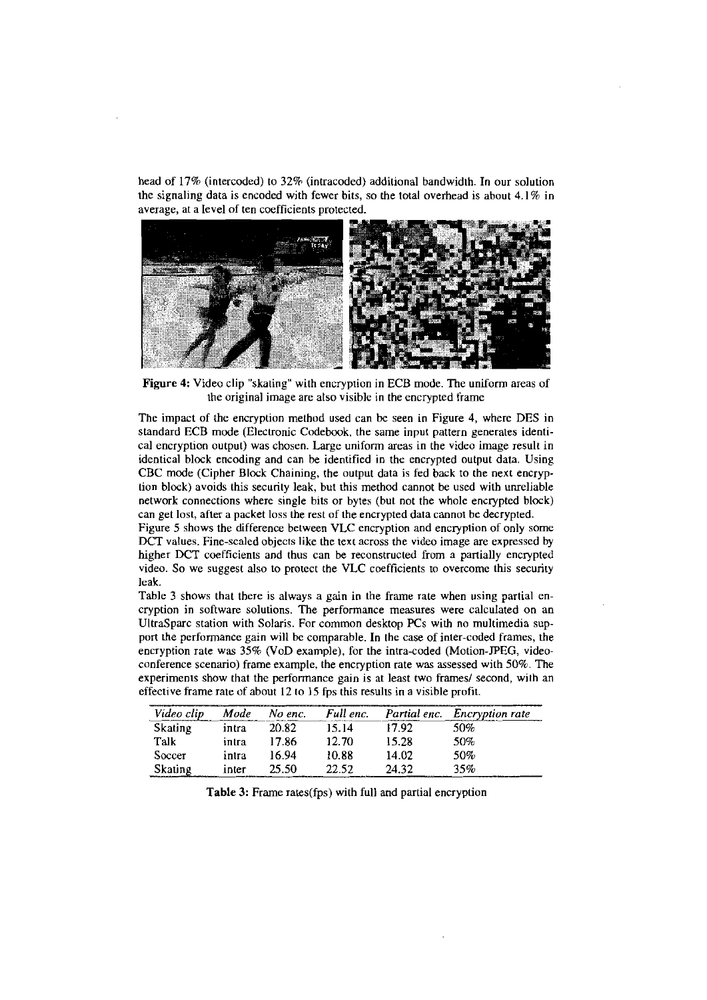head of 17% (intercoded) to 32% (intracoded) additional bandwidth. In our solution the signaling data is encoded with fewer bits, so the total overhead is about 4.1% in average, at a level of ten coefficients protected.



**Figure** 4: Video clip "skating" with encryption in ECB mode. The uniform areas of the original image are also visible in the encrypted frame

The impact of the encryption method used can **be** seen in Figure 4, where DES in standard ECB mode (Electronic Codebook, the same input pattern generates identical encryption output) was chosen. Large uniform areas in the video image result in identical block encoding and can he identified in thc encrypted output data. Using CBC mode (Cipher Block Chaining, the output data is fed back to the next encryption block) avoids this security leak, but this method cannot be used with unreliable network connections where single bits or bytes (but not the whole encrypted block) can get lost, after a packet loss the rest of the encrypted data cannot be decrypted.

Figure 5 shows the difference between VLC encryption and encryption of only some DCT values. Fine-scaled objects like the text across the video image are expressed hy higher DCT coefficients and thus can he reconstructed from a partially encrypted video. So we suggest also to protect the VLC coefficients to overcome this secunty leak.

Table 3 shows that there is always a gain in the frame rate when using partial encryption in software solutions. The performance measures were calculated on an UltraSparc station with Solaris. For common desktop PCs with no multimedia support the performance gain will be comparable. In the case of inter-coded frames, the encryption rate was 35% (VoD example), for the intra-coded (Motion-JPEG, videoconference scenario) frame example, the encryption rate was assessed with 50%. The experiments show that the performance gain is at least two frames/ second, with an effective frame rate of about 12 to 15 fps this results in a visible profit. *Ference scenario)* frame example, the encryption rate was assessed with 50%. The eriments show that the performance gain is at least two frames/ second, with an ective frame rate of about 12 to 15 fps this results in a vi

| Video clip |       | Mode No enc. |       |       | <b>Full enc.</b> Partial enc. Encryption rate |
|------------|-------|--------------|-------|-------|-----------------------------------------------|
| Skating    | intra | 20.82        | 15.14 | 17.92 | 50%                                           |
| Talk       | intra | 17.86        | 12.70 | 15.28 | 50%                                           |
| Soccer     | intra | 16.94        | 10.88 | 14.02 | 50%                                           |
| Skating    | inter | 25.50        | 22.52 | 24.32 | 35%                                           |

**Table 3:** Frame rates(fps) with full and partial encryption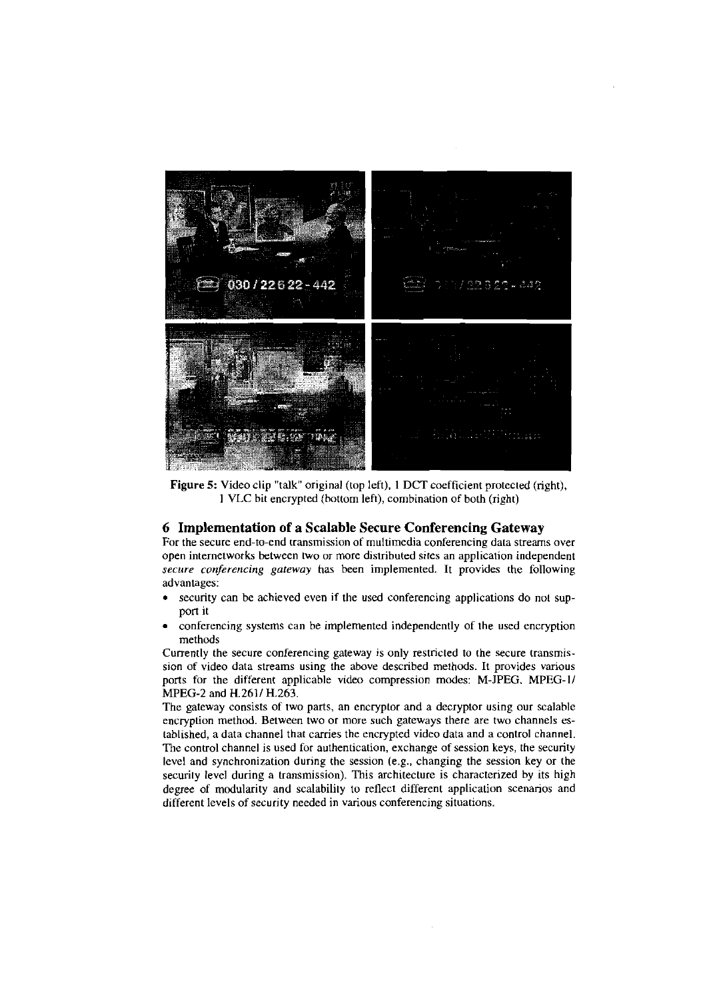

Figure 5: Video clip "talk" original (top left), 1 DCT coefficient protected (right), 1 VLC bit encrypied (hottom left), combination of both (right)

# **6 Implementation of a Scalable Secure Conferencing Gateway**

For the secure end-to-end transmission of multimedia conferencing data streams over Open internetworks between iwo or more distributed sifes an application independent secure conferencing gateway has been implemented. It provides the following advantages:

- security can be achieved even if the used conferencing applications do nol support it
- conferencing systems can be implemented independently of the used encryption methods

Currently the secure conferencing gateway is only restricied to the secure transmission of video data streams using the above described methods. It provides various ports for the different applicable video compression modes: M-JPEG. MPEG-11 MPEG-2 and H.261/ H.263.

The gateway consists of two parts, an encryptor and a decryptor using our scalable enctyption method. Between two or more such gateways there are two channels estahlished, a data channel that carries the enctypted video data and a control channel. The control channel is used for authentication, exchange of session keys, the security level and synchronization during the session (e.g., changing the session key or the security level during a transmission). This architecture is characterized by its high degree of modularity and scalabiliiy to reflect different application scenarios and different levels of security needed in various conferencing situations.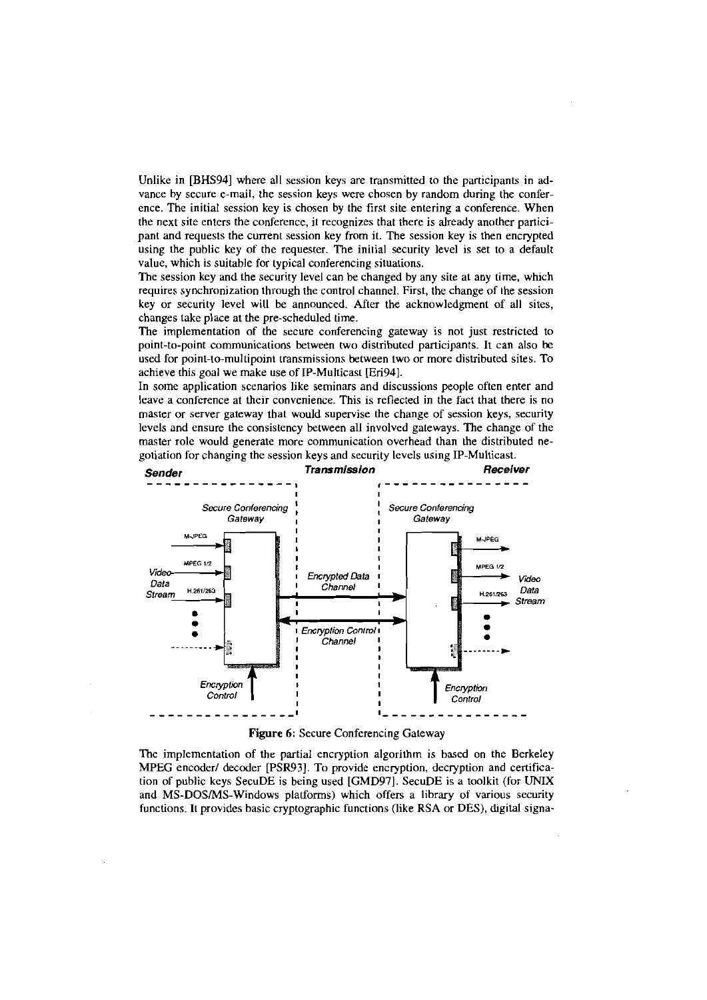Unlike in [BHS94] where all session keys are transmitted to the participants in advance by secure e-mail, the session keys were chosen by random during the conference. The initial session key is chosen by the first site entering a conference. When the next site enters the conference, it recognizes that there is already another panicipant and requests the current session key from it. The session key is then encrypted using the public key of the requester. The initial security level is set to a default value, which is suitable for typical conferencing situations.

The session key and the security level can be changed by any site at any time, which requires synchronization through the control channel. First, the change of ihe session key or security level will be announced. After the acknowledgment of all sites, changes take place at the pre-scheduled time.

The implementation of the sccure conferencing gateway is not just restricted to point-to-point communications between two distributed participants. It can also be used for point-to-multipoint transmissions tetween two or more distributed sites. To achieve this goal we make use of IP-Multicast [Eri94].

In some application sccnarios like seminars and discussions people often enter and leave a conference at their convenience. This is reflected in the fact that there is no master or server gateway that would supervise the change of session keys, securily levels and ensure the consistency between all involved gateways. The change of the master role would generate more communication overhead than the distributed negotiation for changing the session keys and security levels using IP-Multicast.



**Figure** 6: Secure Conferencing Gateway

The implementation of the partial encryption algorithm is based on the Berkeley MPEG encoderl decoder [PSR93]. To provide encryption, decryption and certification of public keys SecuDE is being used [GMD97]. SecuDE is a toolkit (for UNIX and MS-DOSIMS-Windows platforms) which offen a library of various security functions. It provides basic cryptographic functions (like RSA or DES), digital signa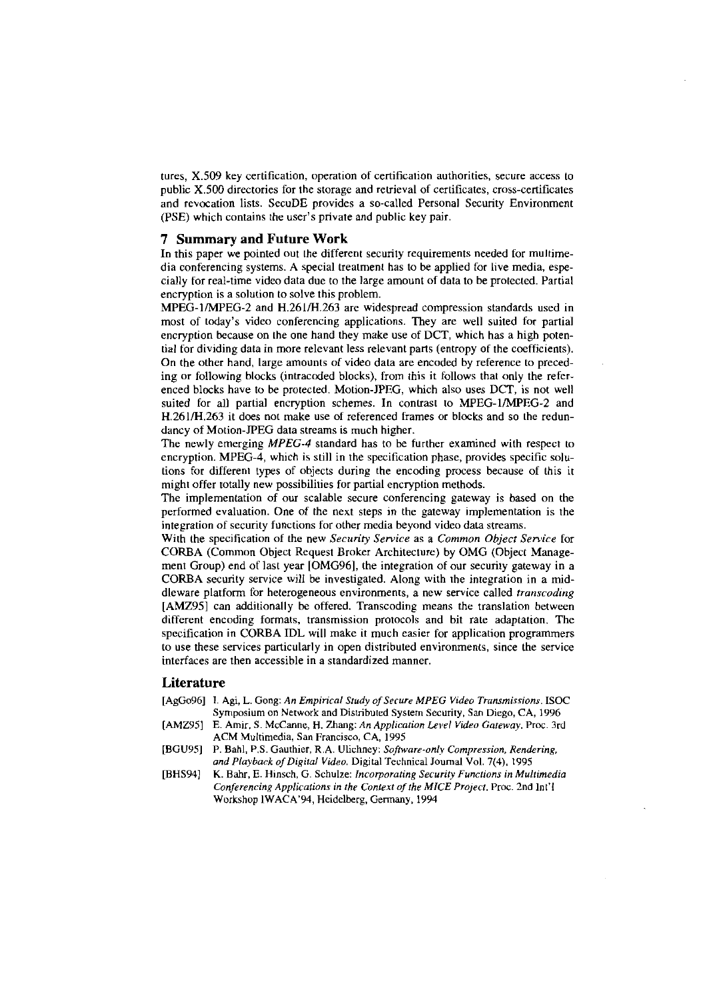tures, X.509 key certification, operation of certification authorities, secure access to public X.500 directories for the Storage and retrieval of certificates, cross-certificates and revocation lists. SecuDE provides a so-called Personal Secunty Environment (PSE) which contains the user's private and public key pair.

# **7 Summary and Future Work**

In this paper we pointed out the different secunty requirements needed for multimedia conferencing systems. A special treatment has to be applied for live media, especially for real-time video data due to the large amount of data to be protected. Partial encryption is a solution to solve this problem.

MPEG-1/MPEG-2 and H.261/H.263 are widespread compression standards used in most of today's video conferencing applications. They are well suited for partial encryption because on the one hand they make use of DCT, which has a high potential for dividinp data in more relevant less relevant pans (entropy of the coefficients). On the other hand. large amounts of video data are encoded by reference to preceding or following blocks (intracoded blocks), from this it follows that only the referenced blocks have to be protected. Motion-JPEG, which also uses DCT, is not well suited for all partial encryption schemes. In contrast to MPEG-1/MPEG-2 and H.261M.263 it does not make use of referenced frames or blocks and so the redundancy of Motion-JPEG data streams is much higher.

The newly emerging MPEG-4 standard has to be further examined with respect to encryption. MPEG-4, which is still in the specification phase, provides specific solutions for different types of objects during the encoding process because of this it might offer totally new possibilities for partial encryption methods.

The implementation of our scalable secure conferencing gateway is based on the performed evaluation. One of the next steps in the gateway implementation is the integration of security functions for other media beyond video data streams.

With the specification of the new *Securig Service* as a *Common Object Service* for CORBA (Common Object Request Broker Architecture) by OMG (Object Management Group) end of last year [OMG96], tbe integration of our security gateway in a CORBA security service will be investigated. Along with the integration in a middleware platform for heterogeneous environments, a new service called *transcoding* [AMZ95] can additionally **be** offered. Transcoding means the translation between different encoding formats, transmission protocols and bit rate adaptation. The specification in CORBA IDL will make it mucb easier for application programmers to use these services particularly in open distributed environments, since the service interfaces are tben accessible in a standardized mannet.

## **Literature**

- [AgGo96] **I.** Agi, L. Gong: *An Empirical Study of Secure MPEG Video Tranrmissions.* ISOC Symposium on Nerwork and Disiributed Systern Securiry. San Diego, CA, 1996 [AMZ95] E. Amir. S. McCanne, H. Zhang: *An Applicarion Level Video Cateway.* Proc. 3rd
- ACM Multimedia, San Francisco, CA, 1995
- [BGU95] P. Bahl, P.S. Gauthier, R.A. Ulichney: *Software-only Compression, Rendering, and Playback of Digital Video.* Digital Technical Journal Vol. 7(4). 1995
- [BHS94] K. Bahr. E. Hinsch. G. Schulze: *Incorporuting Securily Functions in Multimedia Conferencing Applications in the Context of the MICE Project. Proc. 2nd Int'l* Workshop lWACA'94, Heidelberg. Gemany, 1994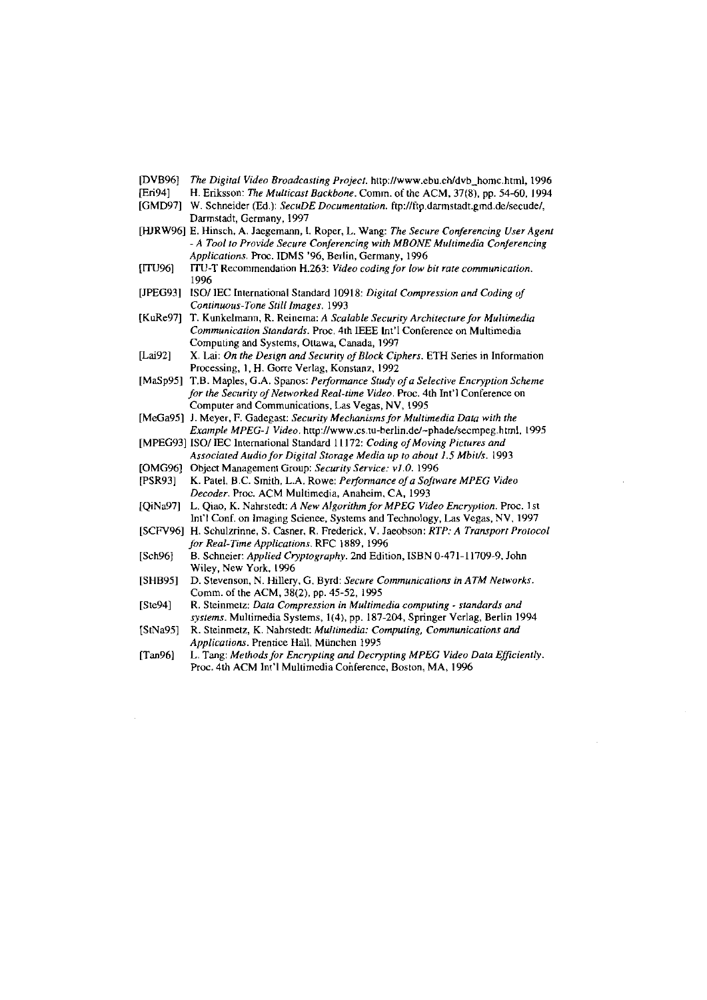- [DVB96] The Digital Video Broadcasting Project. http://www.ebu.ch/dvb homc.html, 1996
- [Eri94] H. Eriksson: The Multicast Backbone, Comm. of the ACM, 37(8), pp. 54-60, 1994
- [GMD97] W. Schneider (Ed.): SecuDE Documentation. ftp://ftp.darmstadt.gmd.de/secude/, Darmstadt, Germany, 1997
- [HJRW96] E. Hinsch, A. Jaegemann, I. Roper, L. Wang: The Secure Conferencing User Agent - A Tool to Provide Secure Conferencing with MBONE Multimedia Conferencing Applications. Proc. IDMS '96, Berlin, Germany, 1996
- **ITTU961** ITU-T Recommendation H.263: Video coding for low bit rate communication. 1996
- $[JPEG93]$ ISO/ IEC International Standard 10918: Digital Compression and Coding of Continuous-Tone Still Images. 1993
- **IKuRe971** T. Kunkelmann, R. Reinema: A Scalable Security Architecture for Multimedia Communication Standards. Proc. 4th IEEE Int'l Conference on Multimedia Computing and Systems, Ottawa, Canada, 1997
- $[Lai92]$ X. Lai: On the Design and Security of Block Ciphers. ETH Series in Information Processing, 1, H. Gorre Verlag, Konstanz, 1992
- [MaSp95] T.B. Maples, G.A. Spanos: Performance Study of a Selective Encryption Scheme for the Security of Networked Real-time Video. Proc. 4th Int'l Conference on Computer and Communications, Las Vegas, NV, 1995
- [MeGa95] J. Meyer, F. Gadegast: Security Mechanisms for Multimedia Data with the Example MPEG-1 Video. http://www.cs.tu-berlin.de/~phade/secmpeg.html, 1995
- [MPEG93] ISO/ IEC International Standard 11172: Coding of Moving Pictures and Associated Audio for Digital Storage Media up to about 1.5 Mbit/s. 1993
- [OMG96] Object Management Group: Security Service: v1.0. 1996
- [PSR93] K. Patel, B.C. Smith, L.A. Rowe: Performance of a Software MPEG Video Decoder. Proc. ACM Multimedia, Anaheim, CA, 1993
- [QiNa97] L. Qiao, K. Nahrstedt: A New Algorithm for MPEG Video Encryption. Proc. 1st Int'l Conf. on Imaging Science, Systems and Technology, Las Vegas, NV, 1997
- [SCFV96] H. Schulzrinne, S. Casner, R. Frederick, V. Jaeobson: RTP; A Transport Protocol for Real-Time Applications. RFC 1889, 1996
- B. Schneier: Applied Cryptography. 2nd Edition, ISBN 0-471-11709-9, John  $[Sch96]$ Wiley, New York, 1996
- [SHB95] D. Stevenson, N. Hillery, G. Byrd: Secure Communications in ATM Networks. Comm. of the ACM, 38(2), pp. 45-52, 1995
- [ $Ste94$ ] R. Steinmetz: Data Compression in Multimedia computing - standards and systems. Multimedia Systems, 1(4), pp. 187-204, Springer Verlag, Berlin 1994
- [StNa95] R. Steinmetz, K. Nahrstedt. Multimedia: Computing, Communications and Applications. Prentice Hall, München 1995
- $Tan96$ L. Tang: Methods for Encrypting and Decrypting MPEG Video Data Efficiently. Proc. 4th ACM Int'l Multimedia Conference, Boston, MA, 1996